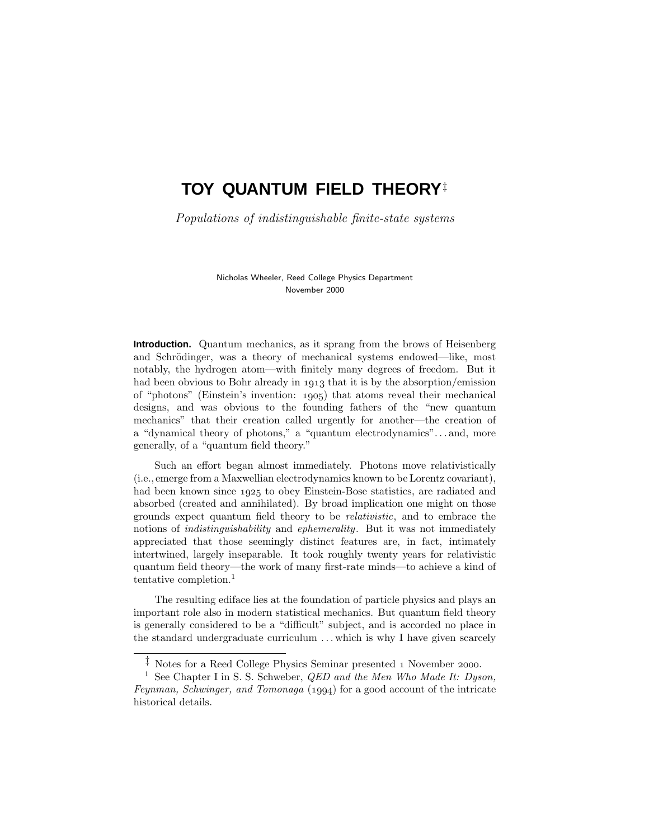# **TOY QUANTUM FIELD THEORY**‡

Populations of indistinguishable finite-state systems

Nicholas Wheeler, Reed College Physics Department November 2000

**Introduction.** Quantum mechanics, as it sprang from the brows of Heisenberg and Schrödinger, was a theory of mechanical systems endowed—like, most notably, the hydrogen atom—with finitely many degrees of freedom. But it had been obvious to Bohr already in 1913 that it is by the absorption/emission of "photons" (Einstein's invention: 1905) that atoms reveal their mechanical designs, and was obvious to the founding fathers of the "new quantum mechanics" that their creation called urgently for another—the creation of a "dynamical theory of photons," a "quantum electrodynamics"*...* and, more generally, of a "quantum field theory."

Such an effort began almost immediately. Photons move relativistically (i.e.,emerge from a Maxwellian electrodynamics known to be Lorentz covariant), had been known since 1925 to obey Einstein-Bose statistics, are radiated and absorbed (created and annihilated). By broad implication one might on those grounds expect quantum field theory to be relativistic, and to embrace the notions of *indistinguishability* and *ephemerality*. But it was not immediately appreciated that those seemingly distinct features are, in fact, intimately intertwined, largely inseparable. It took roughly twenty years for relativistic quantum field theory—the work of many first-rate minds—to achieve a kind of tentative completion.<sup>1</sup>

The resulting ediface lies at the foundation of particle physics and plays an important role also in modern statistical mechanics. But quantum field theory is generally considered to be a "difficult" subject, and is accorded no place in the standard undergraduate curriculum *...* which is why I have given scarcely

 $\stackrel{\ddagger}{\phantom{}_{\sim}}$  Notes for a Reed College Physics Seminar presented 1 November 2000.

<sup>&</sup>lt;sup>1</sup> See Chapter I in S. S. Schweber, *QED* and the Men Who Made It: Dyson, Feynman, Schwinger, and Tomonaga  $(1994)$  for a good account of the intricate historical details.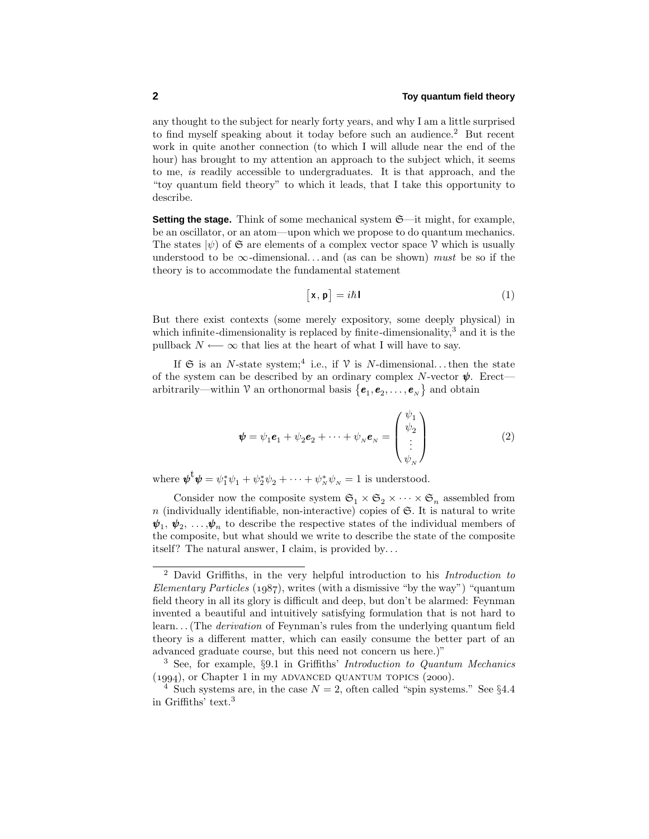any thought to the subject for nearly forty years, and why I am a little surprised to find myself speaking about it today before such an audience.<sup>2</sup> But recent work in quite another connection (to which I will allude near the end of the hour) has brought to my attention an approach to the subject which, it seems to me, is readily accessible to undergraduates. It is that approach, and the "toy quantum field theory" to which it leads, that I take this opportunity to describe.

**Setting the stage.** Think of some mechanical system  $\mathfrak{S}$ —it might, for example, be an oscillator, or an atom—upon which we propose to do quantum mechanics. The states  $|\psi\rangle$  of  $\mathfrak S$  are elements of a complex vector space  $\mathcal V$  which is usually understood to be  $\infty$ -dimensional...and (as can be shown) *must* be so if the theory is to accommodate the fundamental statement

$$
\lceil \mathbf{x}, \mathbf{p} \rceil = i\hbar \mathbf{I} \tag{1}
$$

But there exist contexts (some merely expository, some deeply physical) in which infinite-dimensionality is replaced by finite-dimensionality, $3$  and it is the pullback  $N \longleftarrow \infty$  that lies at the heart of what I will have to say.

If  $\mathfrak S$  is an *N*-state system;<sup>4</sup> i.e., if  $\mathcal V$  is *N*-dimensional...then the state of the system can be described by an ordinary complex *N*-vector  $\psi$ . Erect arbitrarily—within V an orthonormal basis  $\{\bm e_1,\bm e_2,\ldots,\bm e_{_N}\}$  and obtain

$$
\boldsymbol{\psi} = \psi_1 \boldsymbol{e}_1 + \psi_2 \boldsymbol{e}_2 + \dots + \psi_N \boldsymbol{e}_N = \begin{pmatrix} \psi_1 \\ \psi_2 \\ \vdots \\ \psi_N \end{pmatrix}
$$
 (2)

where  $\boldsymbol{\psi}^{\mathbf{t}}\boldsymbol{\psi} = \psi_1^*\psi_1 + \psi_2^*\psi_2 + \cdots + \psi_N^*\psi_N = 1$  is understood.

Consider now the composite system  $\mathfrak{S}_1 \times \mathfrak{S}_2 \times \cdots \times \mathfrak{S}_n$  assembled from  $n$  (individually identifiable, non-interactive) copies of  $\mathfrak{S}$ . It is natural to write  $\psi_1, \psi_2, \ldots, \psi_n$  to describe the respective states of the individual members of the composite, but what should we write to describe the state of the composite itself? The natural answer, I claim, is provided by*...*

<sup>2</sup> David Griffiths, in the very helpful introduction to his Introduction to *Elementary Particles* ( $1987$ ), writes (with a dismissive "by the way") "quantum field theory in all its glory is difficult and deep, but don't be alarmed: Feynman invented a beautiful and intuitively satisfying formulation that is not hard to learn*...*(The derivation of Feynman's rules from the underlying quantum field theory is a different matter, which can easily consume the better part of an advanced graduate course, but this need not concern us here.)"

<sup>3</sup> See, for example, §9.1 in Griffiths' Introduction to Quantum Mechanics  $(1994)$ , or Chapter 1 in my ADVANCED QUANTUM TOPICS  $(2000)$ .

<sup>&</sup>lt;sup>4</sup> Such systems are, in the case  $N = 2$ , often called "spin systems." See §4.4 in Griffiths' text.<sup>3</sup>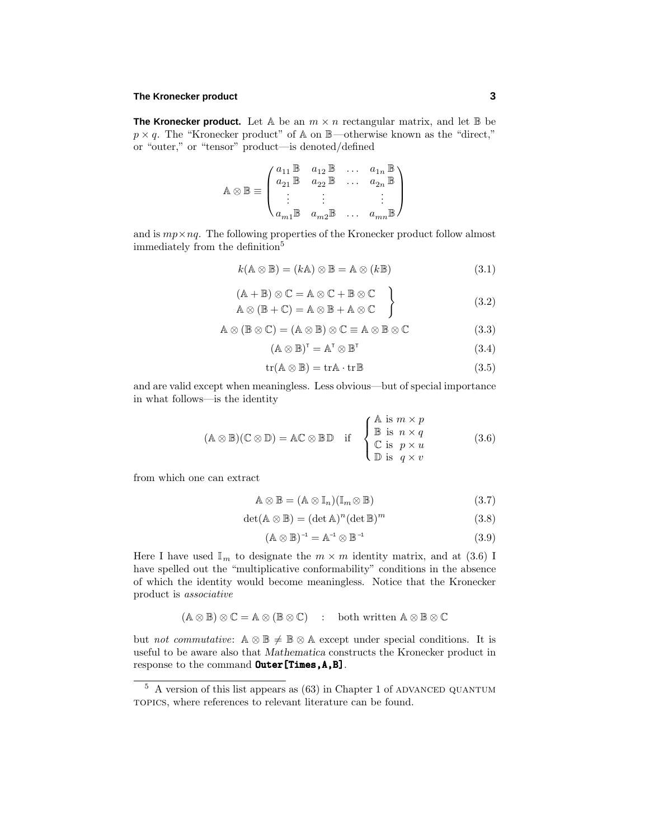#### **The Kronecker product 3**

**The Kronecker product.** Let A be an  $m \times n$  rectangular matrix, and let B be  $p \times q$ . The "Kronecker product" of A on  $\mathbb{B}$ —otherwise known as the "direct," or "outer," or "tensor" product—is denoted/defined

$$
\mathbb{A} \otimes \mathbb{B} \equiv \begin{pmatrix} a_{11} \mathbb{B} & a_{12} \mathbb{B} & \dots & a_{1n} \mathbb{B} \\ a_{21} \mathbb{B} & a_{22} \mathbb{B} & \dots & a_{2n} \mathbb{B} \\ \vdots & \vdots & & \vdots \\ a_{m1} \mathbb{B} & a_{m2} \mathbb{B} & \dots & a_{mn} \mathbb{B} \end{pmatrix}
$$

and is  $mp \times nq$ . The following properties of the Kronecker product follow almost immediately from the definition<sup>5</sup>

$$
k(\mathbb{A}\otimes\mathbb{B})=(k\mathbb{A})\otimes\mathbb{B}=\mathbb{A}\otimes(k\mathbb{B})
$$
\n(3.1)

$$
(A + B) \otimes C = A \otimes C + B \otimes C
$$
  
\n
$$
A \otimes (B + C) = A \otimes B + A \otimes C
$$
  
\n(3.2)

$$
\mathbb{A}\otimes(\mathbb{B}\otimes\mathbb{C})=(\mathbb{A}\otimes\mathbb{B})\otimes\mathbb{C}\equiv\mathbb{A}\otimes\mathbb{B}\otimes\mathbb{C}
$$
 (3.3)

$$
(\mathbb{A}\otimes\mathbb{B})^{\mathsf{T}}=\mathbb{A}^{\mathsf{T}}\otimes\mathbb{B}^{\mathsf{T}}\tag{3.4}
$$

$$
tr(A \otimes \mathbb{B}) = trA \cdot trB \tag{3.5}
$$

and are valid except when meaningless. Less obvious—but of special importance in what follows—is the identity

$$
(\mathbb{A} \otimes \mathbb{B})(\mathbb{C} \otimes \mathbb{D}) = \mathbb{A}\mathbb{C} \otimes \mathbb{B}\mathbb{D} \quad \text{if} \quad \begin{cases} \mathbb{A} \text{ is } m \times p \\ \mathbb{B} \text{ is } n \times q \\ \mathbb{C} \text{ is } p \times u \\ \mathbb{D} \text{ is } q \times v \end{cases} \tag{3.6}
$$

from which one can extract

$$
\mathbb{A} \otimes \mathbb{B} = (\mathbb{A} \otimes \mathbb{I}_n)(\mathbb{I}_m \otimes \mathbb{B})
$$
\n(3.7)

$$
\det(\mathbb{A}\otimes\mathbb{B}) = (\det \mathbb{A})^n (\det \mathbb{B})^m
$$
\n(3.8)

$$
(\mathbb{A} \otimes \mathbb{B})^{-1} = \mathbb{A}^{-1} \otimes \mathbb{B}^{-1} \tag{3.9}
$$

Here I have used  $\mathbb{I}_m$  to designate the  $m \times m$  identity matrix, and at (3.6) I have spelled out the "multiplicative conformability" conditions in the absence of which the identity would become meaningless. Notice that the Kronecker product is associative

$$
(\mathbb{A} \otimes \mathbb{B}) \otimes \mathbb{C} = \mathbb{A} \otimes (\mathbb{B} \otimes \mathbb{C}) \quad : \quad \text{both written } \mathbb{A} \otimes \mathbb{B} \otimes \mathbb{C}
$$

but not commutative:  $A \otimes \mathbb{B} \neq \mathbb{B} \otimes A$  except under special conditions. It is useful to be aware also that *Mathematica* constructs the Kronecker product in response to the command  $\text{Outer}[\text{Times},A,B]$ .

 $5$  A version of this list appears as  $(63)$  in Chapter 1 of ADVANCED QUANTUM topics, where references to relevant literature can be found.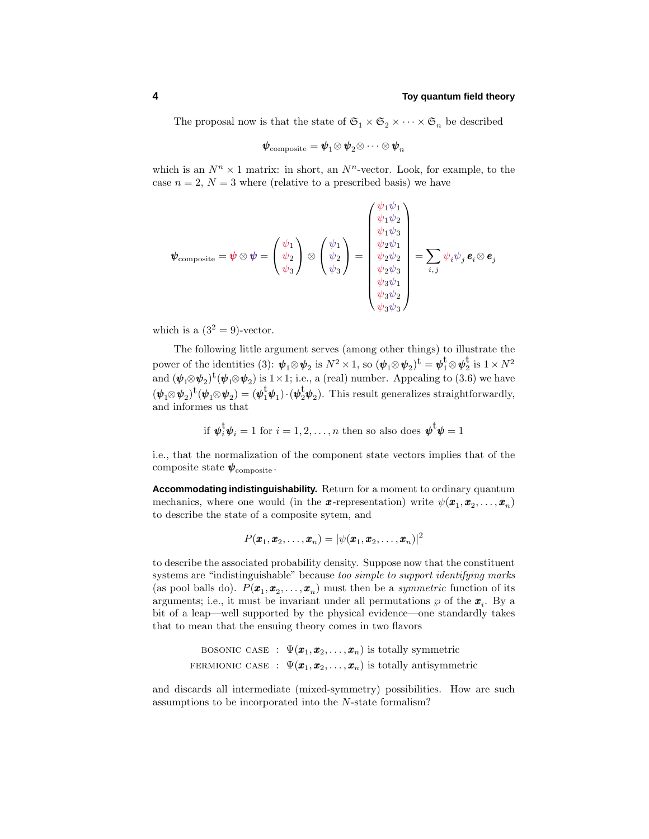The proposal now is that the state of  $\mathfrak{S}_1 \times \mathfrak{S}_2 \times \cdots \times \mathfrak{S}_n$  be described

$$
\boldsymbol{\psi}_{\mathrm{composite}} = \boldsymbol{\psi}_1 \!\otimes\! \boldsymbol{\psi}_2 \!\otimes\! \cdots \otimes \boldsymbol{\psi}_n
$$

which is an  $N^n \times 1$  matrix: in short, an  $N^n$ -vector. Look, for example, to the case  $n = 2$ ,  $N = 3$  where (relative to a prescribed basis) we have

*ψ*1*ψ*<sup>1</sup>

$$
\boldsymbol{\psi}_{\text{composite}} = \boldsymbol{\psi} \otimes \boldsymbol{\psi} = \begin{pmatrix} \psi_1 \\ \psi_2 \\ \psi_3 \end{pmatrix} \otimes \begin{pmatrix} \psi_1 \\ \psi_2 \\ \psi_3 \end{pmatrix} = \begin{pmatrix} \psi_1 \psi_1 \\ \psi_2 \psi_1 \\ \psi_2 \psi_2 \\ \psi_3 \psi_1 \\ \psi_4 \psi_2 \\ \psi_5 \psi_3 \\ \psi_4 \psi_4 \\ \psi_5 \psi_2 \\ \psi_6 \psi_3 \psi_4 \end{pmatrix} = \sum_{i,j} \psi_i \psi_j \boldsymbol{e}_i \otimes \boldsymbol{e}_j
$$

which is a  $(3^2 = 9)$ -vector.

The following little argument serves (among other things) to illustrate the power of the identities (3):  $\psi_1 \otimes \psi_2$  is  $N^2 \times 1$ , so  $(\psi_1 \otimes \psi_2)^{\dagger} = \psi_1^{\dagger} \otimes \psi_2^{\dagger}$  is  $1 \times N^2$ and  $(\psi_1 \otimes \psi_2)^t(\psi_1 \otimes \psi_2)$  is  $1 \times 1$ ; i.e., a (real) number. Appealing to (3.6) we have  $(\psi_1 \otimes \psi_2)^{\dagger}(\psi_1 \otimes \psi_2) = (\psi_1^{\dagger} \psi_1) \cdot (\psi_2^{\dagger} \psi_2)$ . This result generalizes straightforwardly, and informes us that

if 
$$
\psi_i^{\dagger} \psi_i = 1
$$
 for  $i = 1, 2, ..., n$  then so also does  $\psi^{\dagger} \psi = 1$ 

i.e., that the normalization of the component state vectors implies that of the composite state  $\psi_{\text{composite}}$ .

**Accommodating indistinguishability.** Return for a moment to ordinary quantum mechanics, where one would (in the **x**-representation) write  $\psi(\mathbf{x}_1, \mathbf{x}_2, \dots, \mathbf{x}_n)$ to describe the state of a composite sytem, and

$$
P(\boldsymbol{x}_1, \boldsymbol{x}_2, \dots, \boldsymbol{x}_n) = |\psi(\boldsymbol{x}_1, \boldsymbol{x}_2, \dots, \boldsymbol{x}_n)|^2
$$

to describe the associated probability density. Suppose now that the constituent systems are "indistinguishable" because too simple to support identifying marks (as pool balls do).  $P(\mathbf{x}_1, \mathbf{x}_2, \dots, \mathbf{x}_n)$  must then be a *symmetric* function of its arguments; i.e., it must be invariant under all permutations  $\wp$  of the  $x_i$ . By a bit of a leap—well supported by the physical evidence—one standardly takes that to mean that the ensuing theory comes in two flavors

BOSONIC CASE : 
$$
\Psi(\mathbf{x}_1, \mathbf{x}_2, ..., \mathbf{x}_n)
$$
 is totally symmetric  
FERMONIC CASE :  $\Psi(\mathbf{x}_1, \mathbf{x}_2, ..., \mathbf{x}_n)$  is totally antisymmetric

and discards all intermediate (mixed-symmetry) possibilities. How are such assumptions to be incorporated into the *N*-state formalism?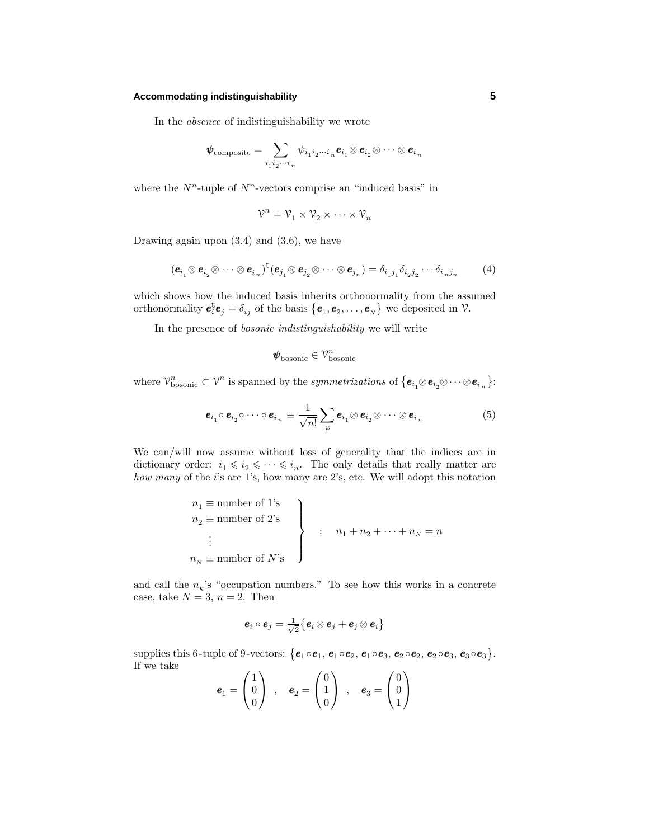#### **Accommodating indistinguishability 5**

In the absence of indistinguishability we wrote

$$
\pmb{\psi}_{\mathrm{composite}} = \sum_{i_1 i_2 \cdots i_n} \psi_{i_1 i_2 \cdots i_n} \pmb{e}_{i_1} \otimes \pmb{e}_{i_2} \otimes \cdots \otimes \pmb{e}_{i_n}
$$

where the  $N^n$ -tuple of  $N^n$ -vectors comprise an "induced basis" in

$$
\mathcal{V}^n = \mathcal{V}_1 \times \mathcal{V}_2 \times \cdots \times \mathcal{V}_n
$$

Drawing again upon (3.4) and (3.6), we have

$$
(\boldsymbol{e}_{i_1} \otimes \boldsymbol{e}_{i_2} \otimes \cdots \otimes \boldsymbol{e}_{i_n})^{\dagger} (\boldsymbol{e}_{j_1} \otimes \boldsymbol{e}_{j_2} \otimes \cdots \otimes \boldsymbol{e}_{j_n}) = \delta_{i_1 j_1} \delta_{i_2 j_2} \cdots \delta_{i_n j_n}
$$
(4)

which shows how the induced basis inherits orthonormality from the assumed orthonormality  $e_i^{\dagger}e_j = \delta_{ij}$  of the basis  $\{e_1, e_2, \ldots, e_N\}$  we deposited in  $\mathcal{V}$ .

In the presence of bosonic indistinguishability we will write

$$
\pmb{\psi}_\mathrm{bosonic} \in \mathcal{V}_\mathrm{bosonic}^n
$$

where  $\mathcal{V}_{\text{bosonic}}^n \subset \mathcal{V}^n$  is spanned by the *symmetrizations* of  $\{\boldsymbol{e}_{i_1} \otimes \boldsymbol{e}_{i_2} \otimes \cdots \otimes \boldsymbol{e}_{i_n}\}$ :

$$
\boldsymbol{e}_{i_1} \circ \boldsymbol{e}_{i_2} \circ \cdots \circ \boldsymbol{e}_{i_n} \equiv \frac{1}{\sqrt{n!}} \sum_{\wp} \boldsymbol{e}_{i_1} \otimes \boldsymbol{e}_{i_2} \otimes \cdots \otimes \boldsymbol{e}_{i_n}
$$
(5)

We can/will now assume without loss of generality that the indices are in dictionary order:  $i_1 \leq i_2 \leq \cdots \leq i_n$ . The only details that really matter are how many of the *i*'s are 1's, how many are 2's, etc. We will adopt this notation

$$
n_1 \equiv \text{number of 1's}
$$
\n
$$
n_2 \equiv \text{number of 2's}
$$
\n
$$
\vdots
$$
\n
$$
n_N \equiv \text{number of } N\text{'s}
$$
\n
$$
\left.\begin{array}{c}\n\vdots \\
\vdots \\
\vdots \\
\vdots \\
\vdots\n\end{array}\right\}
$$

and call the  $n_k$ 's "occupation numbers." To see how this works in a concrete case, take  $N = 3$ ,  $n = 2$ . Then

$$
\boldsymbol{e}_i\circ\boldsymbol{e}_j=\tfrac{1}{\sqrt{2}}\big\{\boldsymbol{e}_i\otimes\boldsymbol{e}_j+\boldsymbol{e}_j\otimes\boldsymbol{e}_i\big\}
$$

 $\sup$  supplies this 6-tuple of 9-vectors:  $\{e_1 \circ e_1, e_1 \circ e_2, e_1 \circ e_3, e_2 \circ e_2, e_2 \circ e_3, e_3 \circ e_3\}.$ If we take

$$
\boldsymbol{e}_1 = \begin{pmatrix} 1 \\ 0 \\ 0 \end{pmatrix} , \quad \boldsymbol{e}_2 = \begin{pmatrix} 0 \\ 1 \\ 0 \end{pmatrix} , \quad \boldsymbol{e}_3 = \begin{pmatrix} 0 \\ 0 \\ 1 \end{pmatrix}
$$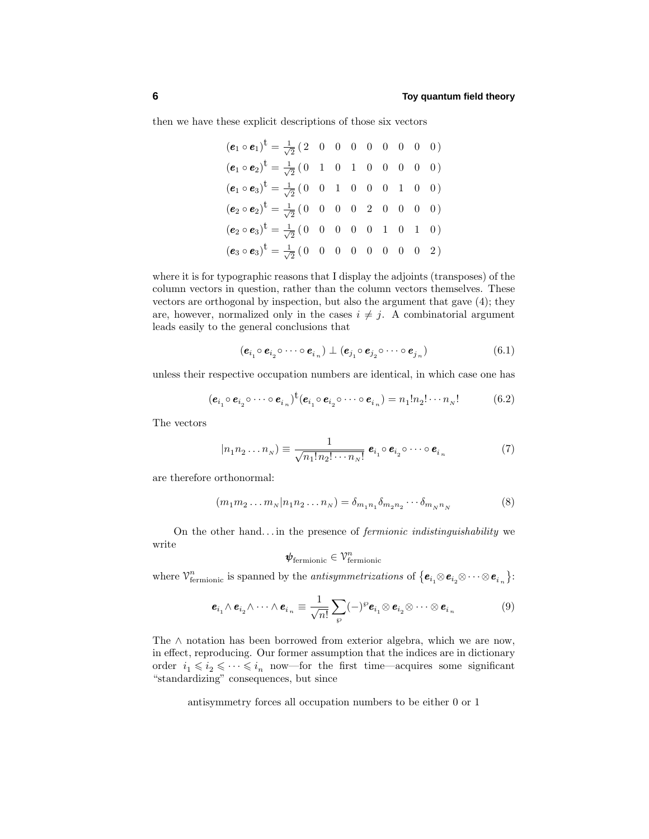then we have these explicit descriptions of those six vectors

$$
(\mathbf{e}_1 \circ \mathbf{e}_1)^{\dagger} = \frac{1}{\sqrt{2}} (2 \quad 0 \quad 0 \quad 0 \quad 0 \quad 0 \quad 0 \quad 0))
$$
  
\n
$$
(\mathbf{e}_1 \circ \mathbf{e}_2)^{\dagger} = \frac{1}{\sqrt{2}} (0 \quad 1 \quad 0 \quad 1 \quad 0 \quad 0 \quad 0 \quad 0 \quad 0))
$$
  
\n
$$
(\mathbf{e}_1 \circ \mathbf{e}_3)^{\dagger} = \frac{1}{\sqrt{2}} (0 \quad 0 \quad 1 \quad 0 \quad 0 \quad 0 \quad 1 \quad 0 \quad 0)
$$
  
\n
$$
(\mathbf{e}_2 \circ \mathbf{e}_2)^{\dagger} = \frac{1}{\sqrt{2}} (0 \quad 0 \quad 0 \quad 0 \quad 2 \quad 0 \quad 0 \quad 0 \quad 0)
$$
  
\n
$$
(\mathbf{e}_2 \circ \mathbf{e}_3)^{\dagger} = \frac{1}{\sqrt{2}} (0 \quad 0 \quad 0 \quad 0 \quad 0 \quad 1 \quad 0 \quad 1 \quad 0)
$$
  
\n
$$
(\mathbf{e}_3 \circ \mathbf{e}_3)^{\dagger} = \frac{1}{\sqrt{2}} (0 \quad 0 \quad 0 \quad 0 \quad 0 \quad 0 \quad 0 \quad 2)
$$

where it is for typographic reasons that I display the adjoints (transposes) of the column vectors in question, rather than the column vectors themselves. These vectors are orthogonal by inspection, but also the argument that gave (4); they are, however, normalized only in the cases  $i \neq j$ . A combinatorial argument leads easily to the general conclusions that

$$
(\boldsymbol{e}_{i_1} \circ \boldsymbol{e}_{i_2} \circ \cdots \circ \boldsymbol{e}_{i_n}) \perp (\boldsymbol{e}_{j_1} \circ \boldsymbol{e}_{j_2} \circ \cdots \circ \boldsymbol{e}_{j_n})
$$
(6.1)

unless their respective occupation numbers are identical, in which case one has

$$
(\boldsymbol{e}_{i_1} \circ \boldsymbol{e}_{i_2} \circ \cdots \circ \boldsymbol{e}_{i_n})^{\dagger} (\boldsymbol{e}_{i_1} \circ \boldsymbol{e}_{i_2} \circ \cdots \circ \boldsymbol{e}_{i_n}) = n_1! n_2! \cdots n_N! \tag{6.2}
$$

The vectors

$$
|n_1 n_2 \dots n_N\rangle \equiv \frac{1}{\sqrt{n_1! n_2! \cdots n_N!}} \, \mathbf{e}_{i_1} \circ \mathbf{e}_{i_2} \circ \cdots \circ \mathbf{e}_{i_n} \tag{7}
$$

are therefore orthonormal:

$$
(m_1 m_2 ... m_N | n_1 n_2 ... n_N) = \delta_{m_1 n_1} \delta_{m_2 n_2} ... \delta_{m_N n_N}
$$
 (8)

On the other hand*...* in the presence of fermionic indistinguishability we write

$$
\pmb{\psi}_{\rm fermionic} \in \mathcal{V}_{\rm fermionic}^n
$$

where  $\mathcal{V}_{\text{fermionic}}^n$  is spanned by the *antisymmetrizations* of  $\{e_{i_1}\otimes e_{i_2}\otimes \cdots \otimes e_{i_n}\}$ :

$$
\mathbf{e}_{i_1} \wedge \mathbf{e}_{i_2} \wedge \cdots \wedge \mathbf{e}_{i_n} \equiv \frac{1}{\sqrt{n!}} \sum_{\wp} (-)^{\wp} \mathbf{e}_{i_1} \otimes \mathbf{e}_{i_2} \otimes \cdots \otimes \mathbf{e}_{i_n}
$$
(9)

The ∧ notation has been borrowed from exterior algebra, which we are now, in effect, reproducing. Our former assumption that the indices are in dictionary order  $i_1 \leqslant i_2 \leqslant \cdots \leqslant i_n$  now—for the first time—acquires some significant "standardizing" consequences, but since

antisymmetry forces all occupation numbers to be either 0 or 1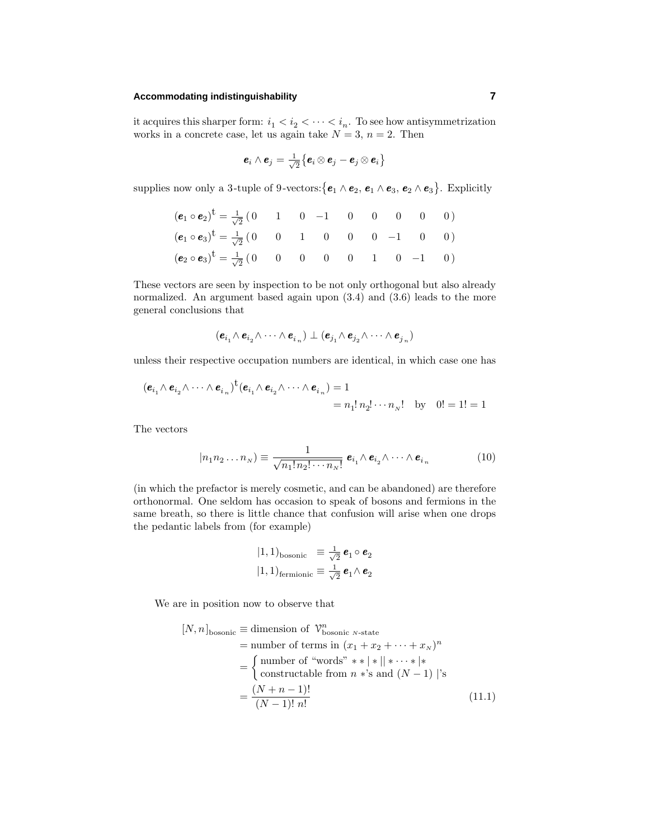#### **Accommodating indistinguishability 7**

it acquires this sharper form:  $i_1 < i_2 < \cdots < i_n$ . To see how antisymmetrization works in a concrete case, let us again take  $N = 3$ ,  $n = 2$ . Then

$$
\boldsymbol{e}_i\wedge\boldsymbol{e}_j=\tfrac{1}{\sqrt{2}}\big\{\boldsymbol{e}_i\otimes\boldsymbol{e}_j-\boldsymbol{e}_j\otimes\boldsymbol{e}_i\big\}
$$

supplies now only a 3-tuple of 9-vectors:  $\{e_1 \wedge e_2, e_1 \wedge e_3, e_2 \wedge e_3\}$ . Explicitly

$$
(\mathbf{e}_1 \circ \mathbf{e}_2)^{\dagger} = \frac{1}{\sqrt{2}} \begin{pmatrix} 0 & 1 & 0 & -1 & 0 & 0 & 0 & 0 & 0 \end{pmatrix}
$$
  
\n
$$
(\mathbf{e}_1 \circ \mathbf{e}_3)^{\dagger} = \frac{1}{\sqrt{2}} \begin{pmatrix} 0 & 0 & 1 & 0 & 0 & 0 & -1 & 0 & 0 \end{pmatrix}
$$
  
\n
$$
(\mathbf{e}_2 \circ \mathbf{e}_3)^{\dagger} = \frac{1}{\sqrt{2}} \begin{pmatrix} 0 & 0 & 0 & 0 & 0 & 1 & 0 & -1 & 0 \end{pmatrix}
$$

These vectors are seen by inspection to be not only orthogonal but also already normalized. An argument based again upon (3.4) and (3.6) leads to the more general conclusions that

$$
(\pmb{e}_{i_1}\!\wedge\pmb{e}_{i_2}\!\wedge\cdots\wedge\pmb{e}_{i_n})\perp(\pmb{e}_{j_1}\!\wedge\pmb{e}_{j_2}\!\wedge\cdots\wedge\pmb{e}_{j_n})
$$

unless their respective occupation numbers are identical, in which case one has

$$
(\mathbf{e}_{i_1} \wedge \mathbf{e}_{i_2} \wedge \cdots \wedge \mathbf{e}_{i_n})^{\dagger} (\mathbf{e}_{i_1} \wedge \mathbf{e}_{i_2} \wedge \cdots \wedge \mathbf{e}_{i_n}) = 1
$$
  
=  $n_1! n_2! \cdots n_N!$  by  $0! = 1! = 1$ 

The vectors

$$
|n_1 n_2 \dots n_N\rangle \equiv \frac{1}{\sqrt{n_1! n_2! \cdots n_N!}} \, \mathbf{e}_{i_1} \wedge \mathbf{e}_{i_2} \wedge \dots \wedge \mathbf{e}_{i_n} \tag{10}
$$

(in which the prefactor is merely cosmetic, and can be abandoned) are therefore orthonormal. One seldom has occasion to speak of bosons and fermions in the same breath, so there is little chance that confusion will arise when one drops the pedantic labels from (for example)

$$
\begin{array}{ll}\n\text{(1, 1)}_{\text{bosonic}} & \equiv \frac{1}{\sqrt{2}} \, \pmb{e}_1 \circ \pmb{e}_2 \\
\text{(1, 1)}_{\text{fermionic}} & \equiv \frac{1}{\sqrt{2}} \, \pmb{e}_1 \wedge \pmb{e}_2\n\end{array}
$$

We are in position now to observe that

$$
[N, n]_{\text{bosonic}} \equiv \text{dimension of } \mathcal{V}_{\text{bosonic } N\text{-state}}^{n}
$$
  
= number of terms in  $(x_1 + x_2 + \dots + x_N)^n$   
= 
$$
\begin{cases} \text{number of "words" } * * | * || * \dots * | * \\ \text{constructable from } n * \text{'s and } (N - 1) | \text{'s} \end{cases}
$$
  
= 
$$
\frac{(N + n - 1)!}{(N - 1)! n!}
$$
 (11.1)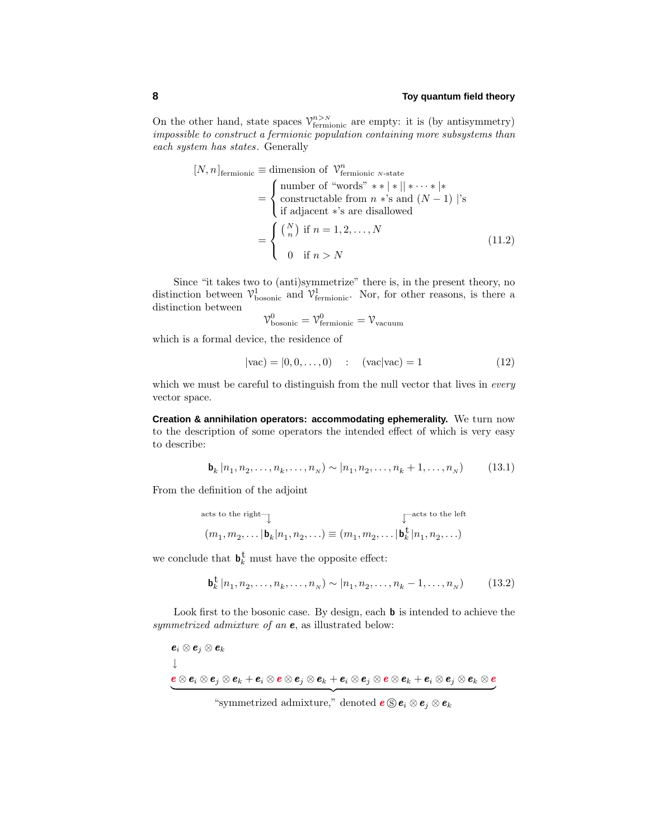On the other hand, state spaces  $\mathcal{V}_{\text{fermionic}}^{n>N}$  are empty: it is (by antisymmetry) impossible to construct a fermionic population containing more subsystems than each system has states. Generally

$$
[N, n]_{\text{fermionic}} \equiv \text{dimension of } \mathcal{V}_{\text{fermionic } N\text{-state}}^{n}
$$
\n
$$
= \begin{cases}\n\text{number of "words" } * * | * || * \cdots * | * \\
\text{constructable from } n * \text{'s and } (N - 1) | \text{'s} \\
\text{if adjacent *'s are disallowed} \\
= \begin{cases}\n\binom{N}{n} \text{ if } n = 1, 2, \dots, N \\
0 \text{ if } n > N\n\end{cases}\n\end{cases} (11.2)
$$

Since "it takes two to (anti)symmetrize" there is, in the present theory, no distinction between  $\mathcal{V}_{\text{bosonic}}^1$  and  $\mathcal{V}_{\text{fermionic}}^1$ . Nor, for other reasons, is there a distinction between  $\alpha$ 

$$
\mathcal{V}_{\text{bosonic}}^0 = \mathcal{V}_{\text{fermionic}}^0 = \mathcal{V}_{\text{vacuum}}
$$

which is a formal device, the residence of

$$
|vac\rangle = |0, 0, ..., 0) : (vac|vac\rangle = 1 \tag{12}
$$

which we must be careful to distinguish from the null vector that lives in *every* vector space.

**Creation & annihilation operators: accommodating ephemerality.** We turn now to the description of some operators the intended effect of which is very easy to describe:

$$
\mathbf{b}_k | n_1, n_2, \dots, n_k, \dots, n_N) \sim | n_1, n_2, \dots, n_k + 1, \dots, n_N) \tag{13.1}
$$

From the definition of the adjoint

acts to the right—↓ ↓—acts to the left (*m*1*, m*2*,...* <sup>|</sup>**b***k*|*n*1*, n*2*,...*) <sup>≡</sup> (*m*1*, m*2*,...* <sup>|</sup>**b**<sup>t</sup> *<sup>k</sup>* |*n*1*, n*2*,...*)

we conclude that  $\mathbf{b}_k^{\dagger}$  must have the opposite effect:

$$
\mathbf{b}_{k}^{\dagger} | n_{1}, n_{2}, \dots, n_{k}, \dots, n_{N}) \sim | n_{1}, n_{2}, \dots, n_{k} - 1, \dots, n_{N}) \tag{13.2}
$$

Look first to the bosonic case. By design, each **b** is intended to achieve the symmetrized admixture of an *e*, as illustrated below:

$$
\begin{aligned} &\boldsymbol{e}_i\otimes \boldsymbol{e}_j\otimes \boldsymbol{e}_k \\ &\downarrow \\ &\boldsymbol{e}\otimes \boldsymbol{e}_i\otimes \boldsymbol{e}_j\otimes \boldsymbol{e}_k + \boldsymbol{e}_i\otimes \boldsymbol{e}\otimes \boldsymbol{e}_j\otimes \boldsymbol{e}_k + \boldsymbol{e}_i\otimes \boldsymbol{e}_j\otimes \boldsymbol{e}_k + \boldsymbol{e}_i\otimes \boldsymbol{e}_j\otimes \boldsymbol{e}_k\otimes \boldsymbol{e}_k \end{aligned}
$$

 $^{\prime\prime}$  symmetrized admixture," denoted  $\mathbf{e} \circledcirc \mathbf{e}_i \otimes \mathbf{e}_j \otimes \mathbf{e}_k$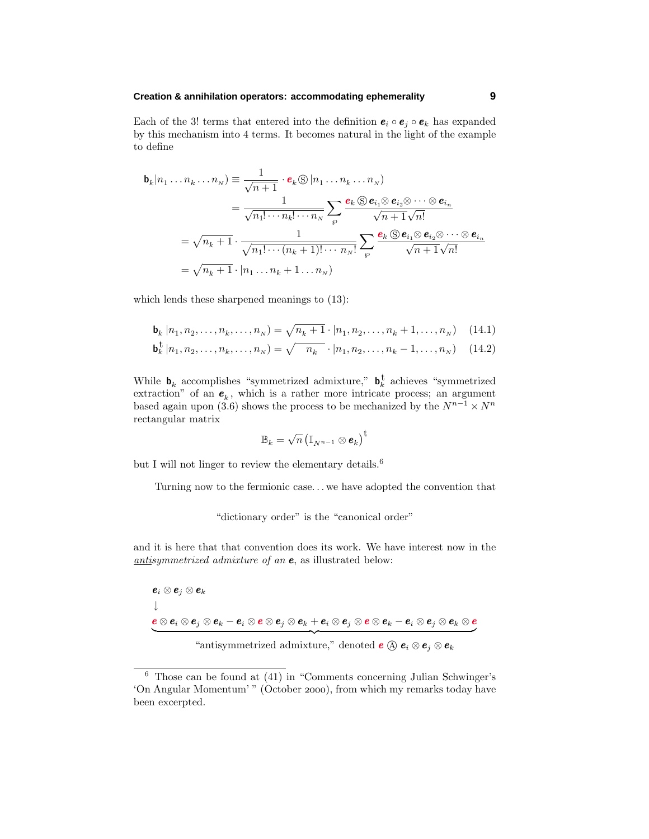## **Creation & annihilation operators: accommodating ephemerality 9**

Each of the 3! terms that entered into the definition  $e_i \circ e_j \circ e_k$  has expanded by this mechanism into 4 terms. It becomes natural in the light of the example to define

$$
\mathbf{b}_{k}|n_{1}...n_{k}...n_{N}) \equiv \frac{1}{\sqrt{n+1}} \cdot \mathbf{e}_{k} \otimes |n_{1}...n_{k}...n_{N})
$$
\n
$$
= \frac{1}{\sqrt{n_{1}! \cdots n_{k}! \cdots n_{N}}} \sum_{\varphi} \frac{\mathbf{e}_{k} \otimes \mathbf{e}_{i_{1}} \otimes \mathbf{e}_{i_{2}} \otimes \cdots \otimes \mathbf{e}_{i_{n}}}{\sqrt{n+1} \sqrt{n_{1}}} \\
= \sqrt{n_{k}+1} \cdot \frac{1}{\sqrt{n_{1}! \cdots (n_{k}+1)! \cdots n_{N}!}} \sum_{\varphi} \frac{\mathbf{e}_{k} \otimes \mathbf{e}_{i_{1}} \otimes \mathbf{e}_{i_{2}} \otimes \cdots \otimes \mathbf{e}_{i_{n}}}{\sqrt{n+1} \sqrt{n_{1}}} \\
= \sqrt{n_{k}+1} \cdot |n_{1}...n_{k}+1...n_{N})
$$

which lends these sharpened meanings to (13):

$$
\mathbf{b}_k | n_1, n_2, \dots, n_k, \dots, n_N) = \sqrt{n_k + 1} \cdot | n_1, n_2, \dots, n_k + 1, \dots, n_N) \tag{14.1}
$$

$$
\mathbf{b}_{k}^{\dagger} | n_{1}, n_{2}, \dots, n_{k}, \dots, n_{N} ) = \sqrt{n_{k}} \cdot | n_{1}, n_{2}, \dots, n_{k} - 1, \dots, n_{N} ) \quad (14.2)
$$

While  $\mathbf{b}_k$  accomplishes "symmetrized admixture,"  $\mathbf{b}_k^{\dagger}$  achieves "symmetrized extraction" of an  $e_k$ , which is a rather more intricate process; an argument based again upon (3.6) shows the process to be mechanized by the  $N^{n-1}\times N^n$ rectangular matrix

$$
\mathbb{B}_k = \sqrt{n} \left( \mathbb{I}_{N^{n-1}} \otimes \pmb{e}_k \right)^{\text{T}}
$$

but I will not linger to review the elementary details.<sup>6</sup>

Turning now to the fermionic case*...* we have adopted the convention that

"dictionary order" is the "canonical order"

and it is here that that convention does its work. We have interest now in the antisymmetrized admixture of an *e*, as illustrated below:

*e<sup>i</sup>* ⊗ *e<sup>j</sup>* ⊗ *e<sup>k</sup>* ↓  $\overline{e\otimes e_i\otimes e_j\otimes e_k} - e_i\,\overline{\otimes}\,e\otimes e_j\otimes e_k + e_i\otimes e_j\otimes e\otimes e_k - e_i\otimes e_j\otimes e_k\otimes e_k$ 

 "antisymmetrized admixture," denoted  $e \otimes e_i \otimes e_j \otimes e_k$ 

<sup>6</sup> Those can be found at (41) in "Comments concerning Julian Schwinger's 'On Angular Momentum' " (October 2000), from which my remarks today have been excerpted.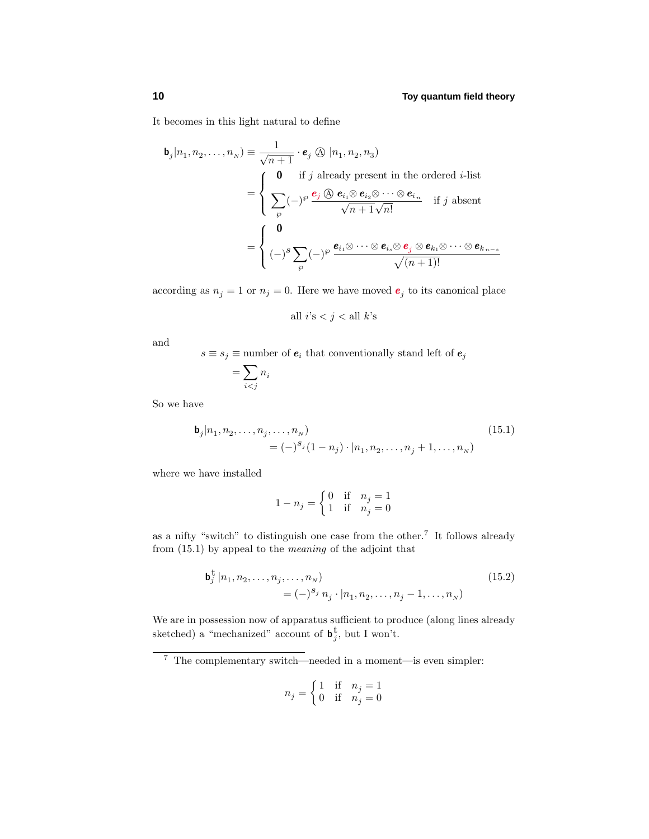It becomes in this light natural to define

$$
\mathbf{b}_{j}|n_{1},n_{2},\ldots,n_{N}) \equiv \frac{1}{\sqrt{n+1}} \cdot \mathbf{e}_{j} \otimes |n_{1},n_{2},n_{3})
$$
\n
$$
= \begin{cases}\n\mathbf{0} & \text{if } j \text{ already present in the ordered } i\text{-list} \\
\sum_{\wp} (-)^{\wp} \frac{\mathbf{e}_{j} \otimes \mathbf{e}_{i_{1}} \otimes \mathbf{e}_{i_{2}} \otimes \cdots \otimes \mathbf{e}_{i_{n}}}{\sqrt{n+1}\sqrt{n!}} & \text{if } j \text{ absent} \\
\end{cases}
$$
\n
$$
= \begin{cases}\n\mathbf{0} & \text{if } j \text{ all } i \neq j, \\
(-)^{S} \sum_{\wp} (-)^{\wp} \frac{\mathbf{e}_{i_{1}} \otimes \cdots \otimes \mathbf{e}_{i_{s}} \otimes \mathbf{e}_{j} \otimes \mathbf{e}_{k_{1}} \otimes \cdots \otimes \mathbf{e}_{k_{n-s}}}{\sqrt{(n+1)!}}\n\end{cases}
$$

according as  $n_j = 1$  or  $n_j = 0$ . Here we have moved  $e_j$  to its canonical place

all 
$$
i
$$
's  $j$  < all  $k$ 's

and

 $s \equiv s_j \equiv$  number of  $\pmb{e}_i$  that conventionally stand left of  $\pmb{e}_j$ 

$$
= \sum_{i < j} n_i
$$

So we have

$$
\mathbf{b}_{j}|n_{1}, n_{2}, \dots, n_{j}, \dots, n_{N})
$$
\n
$$
= (-)^{s_{j}} (1 - n_{j}) \cdot |n_{1}, n_{2}, \dots, n_{j} + 1, \dots, n_{N})
$$
\n(15.1)

where we have installed

$$
1 - n_j = \begin{cases} 0 & \text{if} \quad n_j = 1 \\ 1 & \text{if} \quad n_j = 0 \end{cases}
$$

as a nifty "switch" to distinguish one case from the other.<sup>7</sup> It follows already from (15.1) by appeal to the meaning of the adjoint that

$$
\mathbf{b}_{j}^{\mathbf{t}} | n_{1}, n_{2}, \dots, n_{j}, \dots, n_{N})
$$
\n
$$
= (-)^{s_{j}} n_{j} \cdot | n_{1}, n_{2}, \dots, n_{j} - 1, \dots, n_{N})
$$
\n(15.2)

We are in possession now of apparatus sufficient to produce (along lines already sketched) a "mechanized" account of  $\mathbf{b}_j^{\dagger}$ , but I won't.

$$
n_j = \begin{cases} 1 & \text{if } n_j = 1 \\ 0 & \text{if } n_j = 0 \end{cases}
$$

<sup>7</sup> The complementary switch—needed in a moment—is even simpler: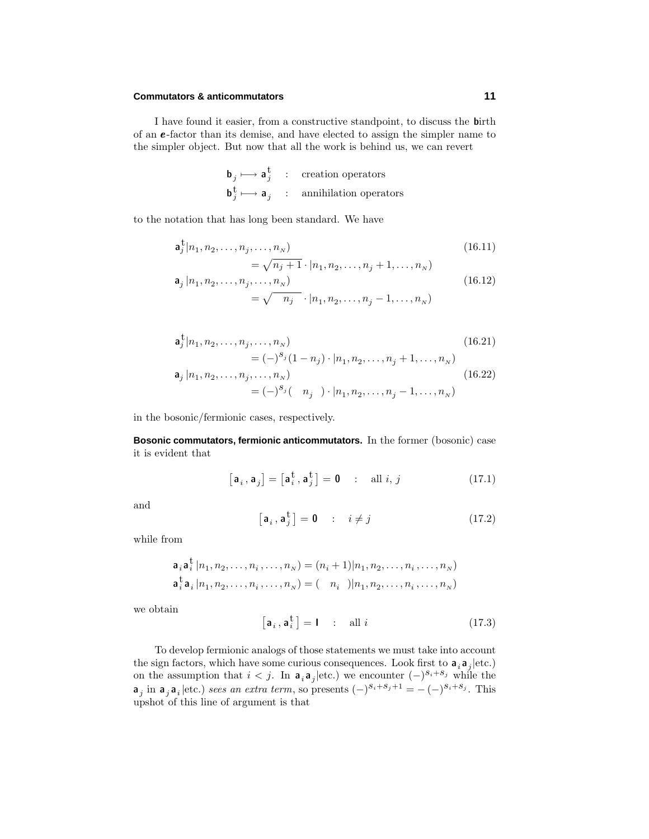## **Commutators & anticommutators 11**

I have found it easier, from a constructive standpoint, to discuss the **b**irth of an *e* -factor than its demise, and have elected to assign the simpler name to the simpler object. But now that all the work is behind us, we can revert

$$
\begin{array}{ccc}\n\mathbf{b}_j \longmapsto \mathbf{a}_j^{\mathbf{t}} & : & \text{creation operators} \\
\mathbf{b}_j^{\mathbf{t}} \longmapsto \mathbf{a}_j & : & \text{annihilation operators}\n\end{array}
$$

to the notation that has long been standard. We have

$$
\mathbf{a}_{j}^{\dagger}|n_{1}, n_{2}, \dots, n_{j}, \dots, n_{N})\n \qquad (16.11)
$$

$$
= \sqrt{n_j + 1} \cdot |n_1, n_2, \dots, n_j + 1, \dots, n_N)
$$
  
\n
$$
\mathbf{a}_j | n_1, n_2, \dots, n_j, \dots, n_N
$$
  
\n
$$
= \sqrt{n_j} \cdot |n_1, n_2, \dots, n_j - 1, \dots, n_N)
$$
\n(16.12)

$$
\mathbf{a}_{j}^{\mathbf{t}}|n_{1}, n_{2}, \dots, n_{j}, \dots, n_{N})\tag{16.21}
$$

$$
= (-)^{s_j} (1 - n_j) \cdot |n_1, n_2, \dots, n_j + 1, \dots, n_N)
$$
  
\n
$$
\mathbf{a}_j | n_1, n_2, \dots, n_j, \dots, n_N
$$
  
\n
$$
= (-)^{s_j} (n_j) \cdot |n_1, n_2, \dots, n_j - 1, \dots, n_N)
$$
\n(16.22)

in the bosonic/fermionic cases, respectively.

**Bosonic commutators, fermionic anticommutators.** In the former (bosonic) case it is evident that

$$
[\mathbf{a}_i, \mathbf{a}_j] = [\mathbf{a}_i^{\mathbf{t}}, \mathbf{a}_j^{\mathbf{t}}] = \mathbf{0} \quad : \quad \text{all } i, j \tag{17.1}
$$

and

$$
\left[\mathbf{a}_i, \mathbf{a}_j^{\dagger}\right] = \mathbf{0} \qquad : \quad i \neq j \tag{17.2}
$$

while from

$$
\mathbf{a}_i \mathbf{a}_i^{\dagger} | n_1, n_2, \dots, n_i, \dots, n_N) = (n_i + 1) | n_1, n_2, \dots, n_i, \dots, n_N)
$$
  

$$
\mathbf{a}_i^{\dagger} \mathbf{a}_i | n_1, n_2, \dots, n_i, \dots, n_N) = (-n_i - | n_1, n_2, \dots, n_i, \dots, n_N)
$$

we obtain

$$
\left[\mathbf{a}_{i}, \mathbf{a}_{i}^{\mathrm{t}}\right] = \mathbf{I} \qquad \text{all } i \tag{17.3}
$$

To develop fermionic analogs of those statements we must take into account the sign factors, which have some curious consequences. Look first to  $\mathbf{a}_i \mathbf{a}_j |$ etc.) on the assumption that  $i < j$ . In  $\mathbf{a}_i \mathbf{a}_j$  |etc.) we encounter  $(-)^{s_i + s_j}$  while the  $\mathbf{a}_j$  in  $\mathbf{a}_j \mathbf{a}_i$  |etc.) sees an extra term, so presents  $(-)^{s_i+s_j+1} = -(-)^{s_i+s_j}$ . This upshot of this line of argument is that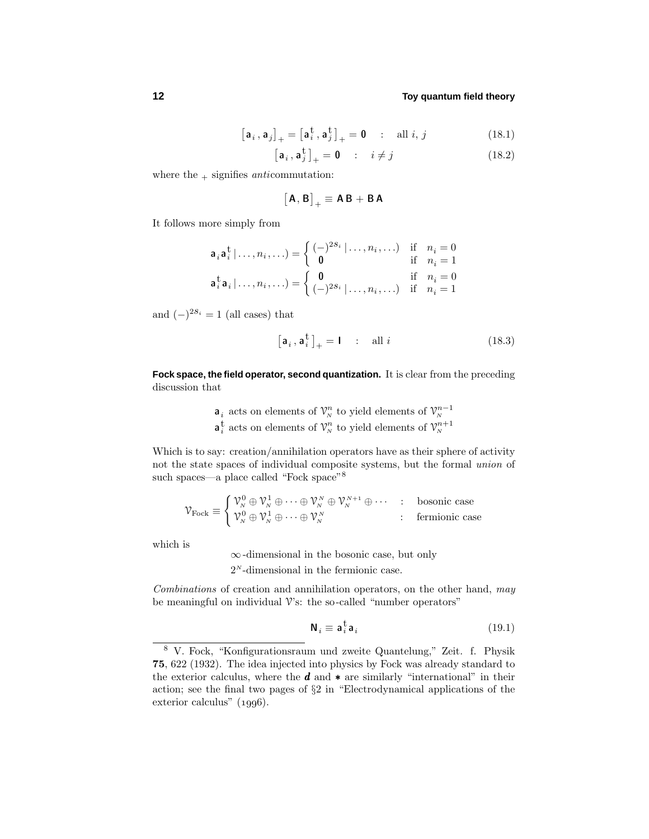$$
\begin{bmatrix} \mathbf{a}_i \,, \mathbf{a}_j \end{bmatrix}_{+} = \begin{bmatrix} \mathbf{a}_i^{\mathbf{t}} \,, \mathbf{a}_j^{\mathbf{t}} \end{bmatrix}_{+} = \mathbf{0} \quad : \quad \text{all } i, j \tag{18.1}
$$

$$
\left[\mathbf{a}_{i}, \mathbf{a}_{j}^{\dagger}\right]_{+} = \mathbf{0} \qquad \therefore \quad i \neq j \tag{18.2}
$$

where the  $+$  signifies anticommutation:

$$
\big[\mathsf{A},\mathsf{B}\big]_+\equiv \mathsf{A}\,\mathsf{B}+\mathsf{B}\,\mathsf{A}
$$

It follows more simply from

$$
\mathbf{a}_i \mathbf{a}_i^{\mathsf{t}} | \dots, n_i, \dots) = \begin{cases} (-)^{2s_i} | \dots, n_i, \dots) & \text{if } n_i = 0 \\ \mathbf{0} & \text{if } n_i = 1 \end{cases}
$$

$$
\mathbf{a}_i^{\mathsf{t}} \mathbf{a}_i | \dots, n_i, \dots) = \begin{cases} \mathbf{0} & \text{if } n_i = 0 \\ (-)^{2s_i} | \dots, n_i, \dots) & \text{if } n_i = 1 \end{cases}
$$

and  $(-)^{2s_i} = 1$  (all cases) that

$$
\left[\mathbf{a}_{i}, \mathbf{a}_{i}^{\mathrm{t}}\right]_{+} = \mathbf{I} \quad : \quad \text{all } i \tag{18.3}
$$

**Fock space, the field operator, second quantization.** It is clear from the preceding discussion that

$$
\mathbf{a}_i
$$
 acts on elements of  $\mathcal{V}_N^n$  to yield elements of  $\mathcal{V}_N^{n-1}$   
 $\mathbf{a}_i^{\dagger}$  acts on elements of  $\mathcal{V}_N^n$  to yield elements of  $\mathcal{V}_N^{n+1}$ 

Which is to say: creation/annihilation operators have as their sphere of activity not the state spaces of individual composite systems, but the formal union of such spaces—a place called "Fock space"<sup>8</sup>

$$
\mathcal{V}_{\text{Fock}}\equiv \left\{ \begin{matrix} \mathcal{V}^0_N \oplus \mathcal{V}^1_N \oplus \cdots \oplus \mathcal{V}^N_N \oplus \mathcal{V}^{N+1}_N \oplus \cdots & \colon & \text{bosonic case} \\ \mathcal{V}^0_N \oplus \mathcal{V}^1_N \oplus \cdots \oplus \mathcal{V}^N_N & \colon & \text{fermionic case} \end{matrix} \right.
$$

which is

∞-dimensional in the bosonic case, but only 2*<sup>N</sup>* -dimensional in the fermionic case.

Combinations of creation and annihilation operators, on the other hand, may be meaningful on individual  $V$ 's: the so-called "number operators"

$$
\mathbf{N}_i \equiv \mathbf{a}_i^{\mathrm{t}} \mathbf{a}_i \tag{19.1}
$$

<sup>8</sup> V. Fock, "Konfigurationsraum und zweite Quantelung," Zeit. f. Physik **75**, 622 (1932). The idea injected into physics by Fock was already standard to the exterior calculus, where the *d* and ∗ are similarly "international" in their action; see the final two pages of §2 in "Electrodynamical applications of the exterior calculus"  $(1996)$ .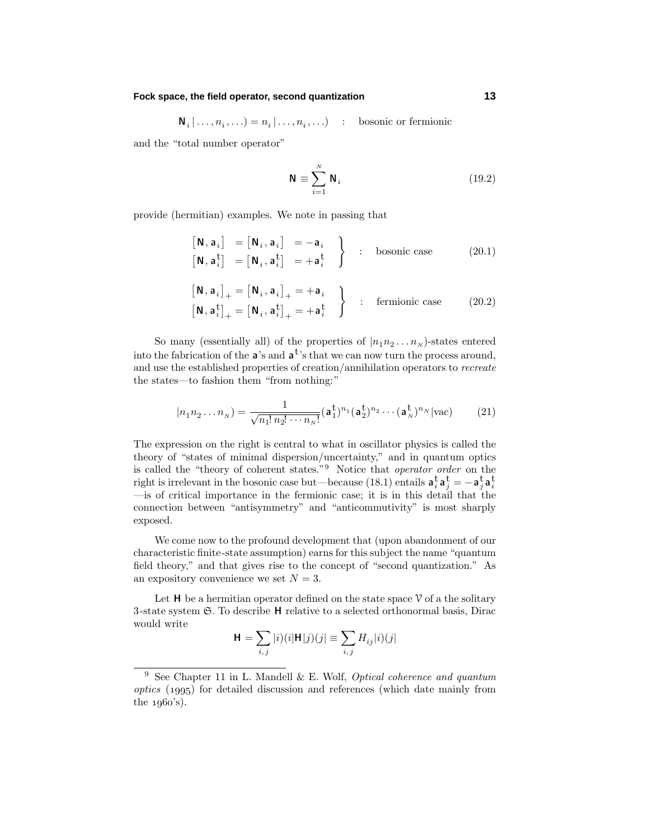#### **Fock space, the field operator, second quantization 13**

 $N_i | \ldots, n_i, \ldots$  =  $n_i | \ldots, n_i, \ldots$  : bosonic or fermionic

and the "total number operator"

$$
\mathbf{N} \equiv \sum_{i=1}^{N} \mathbf{N}_i \tag{19.2}
$$

provide (hermitian) examples. We note in passing that

$$
\begin{bmatrix}\n\mathbf{N}, \mathbf{a}_i\n\end{bmatrix} = \begin{bmatrix}\n\mathbf{N}_i, \mathbf{a}_i\n\end{bmatrix} = -\mathbf{a}_i\n\end{bmatrix} = \begin{bmatrix}\n\mathbf{N}_i, \mathbf{a}_i^{\dagger}\n\end{bmatrix} = \mathbf{a}_i^{\dagger} = \mathbf{a}_i^{\dagger}
$$
 to bosonic case (20.1)

$$
\begin{bmatrix} \mathbf{N}, \mathbf{a}_i \end{bmatrix}_+ = \begin{bmatrix} \mathbf{N}_i, \mathbf{a}_i \end{bmatrix}_+ = +\mathbf{a}_i
$$
  
\n
$$
\begin{bmatrix} \mathbf{N}, \mathbf{a}_i^{\mathsf{t}} \end{bmatrix}_+ = \begin{bmatrix} \mathbf{N}_i, \mathbf{a}_i^{\mathsf{t}} \end{bmatrix}_+ = +\mathbf{a}_i^{\mathsf{t}} \end{bmatrix} : \text{fermionic case} \qquad (20.2)
$$

So many (essentially all) of the properties of  $|n_1n_2...n_N\rangle$ -states entered into the fabrication of the **a**'s and **a**t's that we can now turn the process around, and use the established properties of creation/annihilation operators to recreate the states—to fashion them "from nothing:"

$$
|n_1 n_2 \dots n_N\rangle = \frac{1}{\sqrt{n_1! \, n_2! \cdots n_N!}} (\mathbf{a}_1^{\mathbf{t}})^{n_1} (\mathbf{a}_2^{\mathbf{t}})^{n_2} \cdots (\mathbf{a}_N^{\mathbf{t}})^{n_N} |\text{vac}\rangle \tag{21}
$$

The expression on the right is central to what in oscillator physics is called the theory of "states of minimal dispersion/uncertainty," and in quantum optics is called the "theory of coherent states."<sup>9</sup> Notice that operator order on the right is irrelevant in the bosonic case but—because (18.1) entails  $\mathbf{a}_i^{\mathsf{t}} \mathbf{a}_j^{\mathsf{t}} = -\mathbf{a}_j^{\mathsf{t}} \mathbf{a}_i^{\mathsf{t}}$ —is of critical importance in the fermionic case; it is in this detail that the connection between "antisymmetry" and "anticommutivity" is most sharply exposed.

We come now to the profound development that (upon abandonment of our characteristic finite-state assumption) earns for this subject the name "quantum field theory," and that gives rise to the concept of "second quantization." As an expository convenience we set  $N = 3$ .

Let **H** be a hermitian operator defined on the state space  $\mathcal V$  of a the solitary 3-state system S. To describe **H** relative to a selected orthonormal basis, Dirac would write

$$
\mathbf{H} = \sum_{i,j} |i)(i|\mathbf{H}|j)(j| \equiv \sum_{i,j} H_{ij}|i)(j|
$$

<sup>&</sup>lt;sup>9</sup> See Chapter 11 in L. Mandell & E. Wolf, *Optical coherence and quantum* optics () for detailed discussion and references (which date mainly from the  $1960's$ ).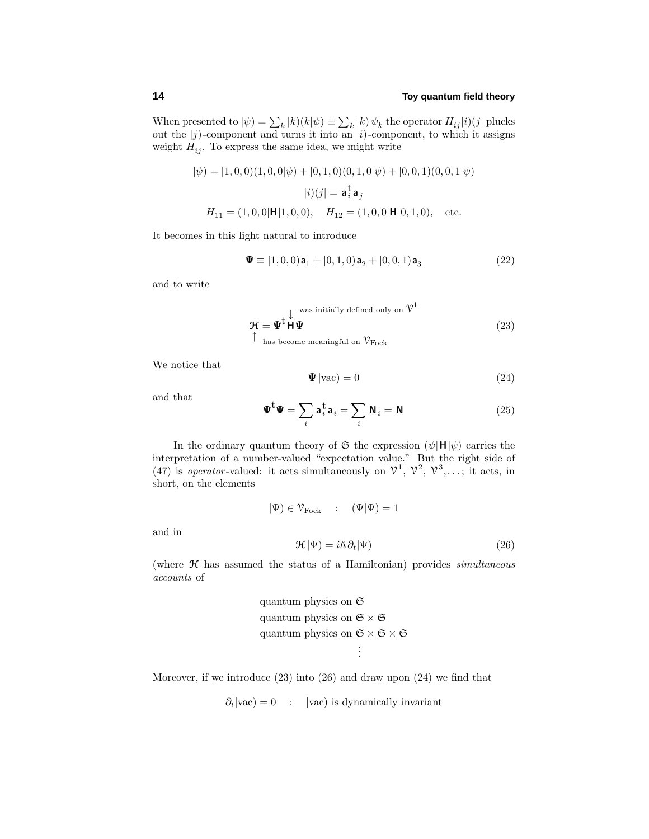When presented to  $|\psi\rangle = \sum_{k} |k\rangle(k|\psi) \equiv \sum_{k} |k\rangle \psi_{k}$  the operator  $H_{ij}|i\rangle(j|$  plucks out the |*j*)-component and turns it into an |*i*)-component, to which it assigns weight  $H_{ij}$ . To express the same idea, we might write

$$
|\psi\rangle = |1, 0, 0\rangle(1, 0, 0|\psi\rangle + |0, 1, 0\rangle(0, 1, 0|\psi\rangle + |0, 0, 1\rangle(0, 0, 1|\psi\rangle |i\rangle(j| = \mathbf{a}_a^{\mathbf{t}} \mathbf{a}_j H_{11} = (1, 0, 0|\mathbf{H}|1, 0, 0), \quad H_{12} = (1, 0, 0|\mathbf{H}|0, 1, 0), \quad \text{etc.}
$$

It becomes in this light natural to introduce

$$
\mathbf{\Psi} \equiv [1, 0, 0) \mathbf{a}_1 + [0, 1, 0) \mathbf{a}_2 + [0, 0, 1) \mathbf{a}_3 \tag{22}
$$

and to write

$$
\mathcal{H} = \Psi^{\text{t}} \overset{\text{[was initially defined only on } \mathcal{V}^1}{\mathbf{H} \Psi}
$$
\n
$$
\overset{\text{[1]} }{\mathbf{H} \mathbf{W}} \tag{23}
$$
\n
$$
\overset{\text{[1]} }{\mathbf{H} \mathbf{W}} \tag{23}
$$

We notice that

$$
\mathbf{\Psi}|\text{vac}\rangle = 0\tag{24}
$$

and that

and in

$$
\mathbf{\Psi}^{\mathbf{t}}\mathbf{\Psi} = \sum_{i} \mathbf{a}_{i}^{\mathbf{t}} \mathbf{a}_{i} = \sum_{i} \mathbf{N}_{i} = \mathbf{N}
$$
 (25)

In the ordinary quantum theory of  $\mathfrak{S}$  the expression  $(\psi | \mathbf{H} | \psi)$  carries the interpretation of a number-valued "expectation value." But the right side of (47) is *operator*-valued: it acts simultaneously on  $\mathcal{V}^1$ ,  $\mathcal{V}^2$ ,  $\mathcal{V}^3$ ,...; it acts, in short, on the elements

$$
|\Psi\rangle \in \mathcal{V}_{Fock} \quad : \quad (\Psi|\Psi) = 1
$$

$$
\mathcal{H}|\Psi\rangle = i\hbar \,\partial_t|\Psi\rangle \tag{26}
$$

(where  $\mathcal H$  has assumed the status of a Hamiltonian) provides simultaneous accounts of

quantum physics on 
$$
\mathfrak{S}
$$

\nquantum physics on  $\mathfrak{S} \times \mathfrak{S}$ 

\nquantum physics on  $\mathfrak{S} \times \mathfrak{S} \times \mathfrak{S}$ 

\n...

Moreover, if we introduce (23) into (26) and draw upon (24) we find that

 $\partial_t |vac\rangle = 0$  :  $|vac\rangle$  is dynamically invariant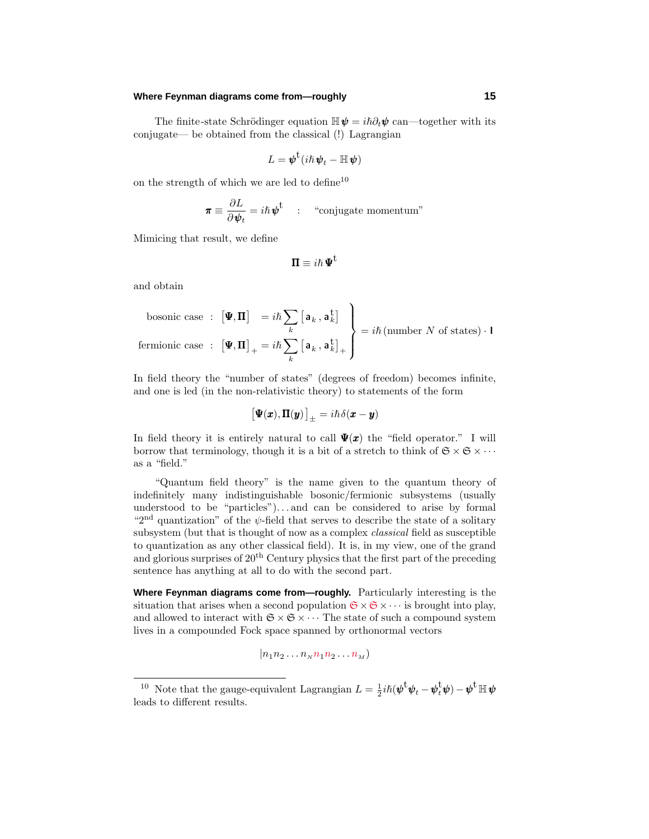#### **Where Feynman diagrams come from—roughly 15**

The finite-state Schrödinger equation  $\mathbb{H}\psi = i\hbar \partial_t \psi$  can—together with its conjugate— be obtained from the classical (!) Lagrangian

$$
L = \pmb{\psi}^{\rm t}(i\hbar\,\pmb{\psi}_t - \mathbb{H}\,\pmb{\psi})
$$

on the strength of which we are led to define<sup>10</sup>

$$
\boldsymbol{\pi} \equiv \frac{\partial L}{\partial \boldsymbol{\psi}_t} = i\hbar \boldsymbol{\psi}^{\mathrm{t}} \quad : \quad \text{``conjugate momentum''}
$$

Mimicing that result, we define

$$
\Pi \equiv i\hbar \, \Psi^t
$$

and obtain

bosonic case : 
$$
[\Psi, \Pi] = i\hbar \sum_{k} [a_{k}, a_{k}^{\dagger}]
$$
  
fermionic case :  $[\Psi, \Pi]_{+} = i\hbar \sum_{k} [a_{k}, a_{k}^{\dagger}]_{+}$  $\begin{cases} = i\hbar \text{ (number } N \text{ of states)} \cdot \Pi \end{cases}$ 

In field theory the "number of states" (degrees of freedom) becomes infinite, and one is led (in the non-relativistic theory) to statements of the form

$$
\big[\Psi({\pmb x}), \pmb{\Pi}({\pmb y})\big]_\pm = i\hbar\hspace{0.05em}\delta({\pmb x}-{\pmb y})
$$

In field theory it is entirely natural to call  $\Psi(x)$  the "field operator." I will borrow that terminology, though it is a bit of a stretch to think of  $\mathfrak{S} \times \mathfrak{S} \times \cdots$ as a "field."

"Quantum field theory" is the name given to the quantum theory of indefinitely many indistinguishable bosonic/fermionic subsystems (usually understood to be "particles")*...* and can be considered to arise by formal "2nd quantization" of the *ψ*-field that serves to describe the state of a solitary subsystem (but that is thought of now as a complex classical field as susceptible to quantization as any other classical field). It is, in my view, one of the grand and glorious surprises of  $20<sup>th</sup>$  Century physics that the first part of the preceding sentence has anything at all to do with the second part.

**Where Feynman diagrams come from—roughly.** Particularly interesting is the situation that arises when a second population  $\mathfrak{S} \times \mathfrak{S} \times \cdots$  is brought into play, and allowed to interact with  $\mathfrak{S} \times \mathfrak{S} \times \cdots$  The state of such a compound system lives in a compounded Fock space spanned by orthonormal vectors

$$
|n_1n_2\ldots n_Nn_1n_2\ldots n_M\rangle
$$

<sup>&</sup>lt;sup>10</sup> Note that the gauge-equivalent Lagrangian  $L = \frac{1}{2}i\hbar(\boldsymbol{\psi}^{\mathbf{t}}\boldsymbol{\psi}_t - \boldsymbol{\psi}_t^{\mathbf{t}}\boldsymbol{\psi}) - \boldsymbol{\psi}^{\mathbf{t}}\mathbb{H}\boldsymbol{\psi}$ leads to different results.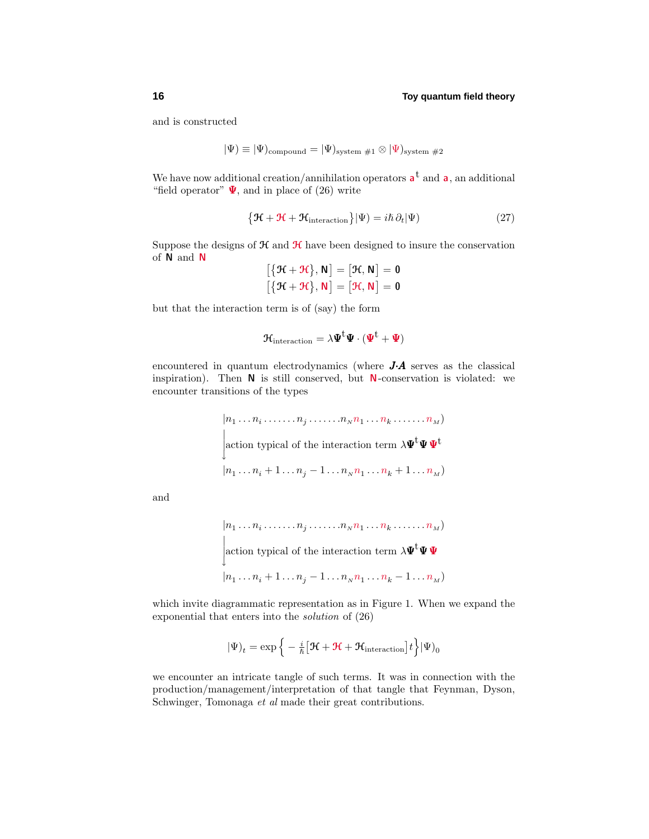and is constructed

$$
|\Psi) \equiv |\Psi)_{\rm compound} = |\Psi)_{\rm system\ #1} \otimes |\Psi)_{\rm system\ #2}
$$

We have now additional creation/annihilation operators  $a^t$  and  $a$ , an additional "field operator"  $\Psi$ , and in place of (26) write

$$
\{\mathcal{H} + \mathcal{H} + \mathcal{H}_{\text{interaction}}\}|\Psi) = i\hbar \,\partial_t|\Psi) \tag{27}
$$

Suppose the designs of  $\mathcal H$  and  $\mathcal H$  have been designed to insure the conservation of **N** and **N** - $\overline{a}$ 

$$
[\{\mathcal{H} + \mathcal{H}\}, \mathbf{N}] = [\mathcal{H}, \mathbf{N}] = \mathbf{0}
$$

$$
[\{\mathcal{H} + \mathcal{H}\}, \mathbf{N}] = [\mathcal{H}, \mathbf{N}] = \mathbf{0}
$$

but that the interaction term is of (say) the form

$$
\mathbf{\mathcal{H}}_{\mathrm{interaction}}=\lambda \boldsymbol{\Psi}^{t}\boldsymbol{\Psi}\cdot(\boldsymbol{\Psi}^{t}+\boldsymbol{\Psi})
$$

encountered in quantum electrodynamics (where *J*·*A* serves as the classical inspiration). Then **N** is still conserved, but **N**-conservation is violated: we encounter transitions of the types

$$
|n_1 \dots n_i \dots n_j \dots n_N n_1 \dots n_k \dots n_M)
$$
  
action typical of the interaction term  $\lambda \Psi^{\mathbf{t}} \Psi \Psi^{\mathbf{t}}$   

$$
|n_1 \dots n_i + 1 \dots n_j - 1 \dots n_N n_1 \dots n_k + 1 \dots n_M)
$$

and

$$
|n_1 \dots n_i \dots n_j \dots n_N n_1 \dots n_k \dots n_M)
$$
  
action typical of the interaction term  $\lambda \Psi^{\mathbf{t}} \Psi \Psi$   

$$
|n_1 \dots n_i + 1 \dots n_j - 1 \dots n_N n_1 \dots n_k - 1 \dots n_M)
$$

which invite diagrammatic representation as in Figure 1. When we expand the exponential that enters into the solution of (26)

$$
|\Psi)_t = \exp\left\{-\frac{i}{\hbar} \left[\mathcal{H} + \mathcal{H} + \mathcal{H}_{\text{interaction}}\right]t\right\} |\Psi)_0
$$

we encounter an intricate tangle of such terms. It was in connection with the production/management/interpretation of that tangle that Feynman, Dyson, Schwinger, Tomonaga et al made their great contributions.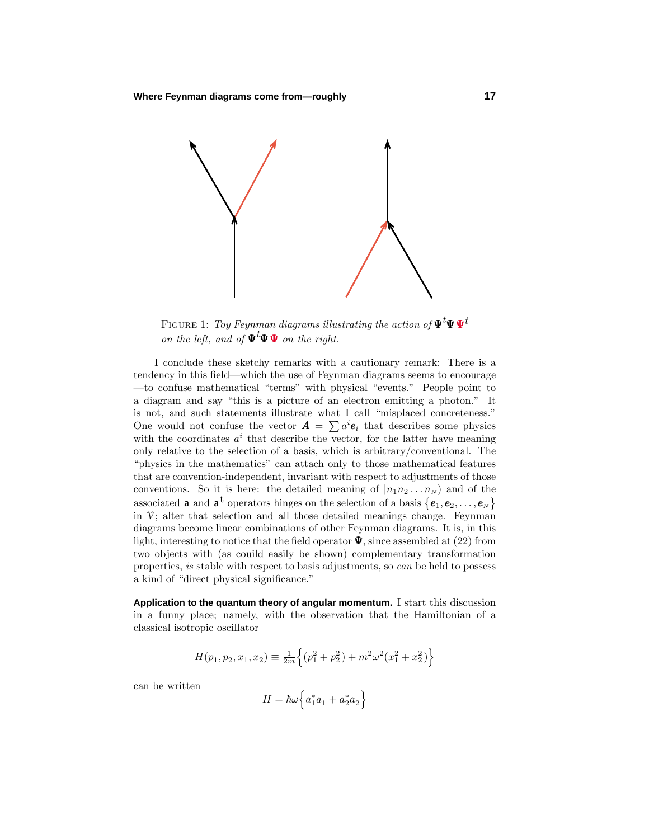

FIGURE 1: *Toy Feynman diagrams illustrating the action of*  $\Psi^t \Psi \Psi^t$ on the left, and of  $\Psi^t \Psi \Psi$  on the right.

I conclude these sketchy remarks with a cautionary remark: There is a tendency in this field—which the use of Feynman diagrams seems to encourage —to confuse mathematical "terms" with physical "events." People point to a diagram and say "this is a picture of an electron emitting a photon." It is not, and such statements illustrate what I call "misplaced concreteness." One would not confuse the vector  $\mathbf{A} = \sum a^i \mathbf{e}_i$  that describes some physics with the coordinates  $a^i$  that describe the vector, for the latter have meaning only relative to the selection of a basis, which is arbitrary/conventional. The "physics in the mathematics" can attach only to those mathematical features that are convention-independent, invariant with respect to adjustments of those conventions. So it is here: the detailed meaning of  $|n_1n_2...n_N\rangle$  and of the associated **a** and **a**<sup>t</sup> operators hinges on the selection of a basis  $\{e_1, e_2, \ldots, e_N\}$ in  $V$ ; alter that selection and all those detailed meanings change. Feynman diagrams become linear combinations of other Feynman diagrams. It is, in this light, interesting to notice that the field operator  $\Psi$ , since assembled at (22) from two objects with (as couild easily be shown) complementary transformation properties, is stable with respect to basis adjustments, so can be held to possess a kind of "direct physical significance."

**Application to the quantum theory of angular momentum.** I start this discussion in a funny place; namely, with the observation that the Hamiltonian of a classical isotropic oscillator

$$
H(p_1, p_2, x_1, x_2) \equiv \frac{1}{2m} \left\{ (p_1^2 + p_2^2) + m^2 \omega^2 (x_1^2 + x_2^2) \right\}
$$

can be written

$$
H = \hbar\omega \left\{ a_1^* a_1 + a_2^* a_2 \right\}
$$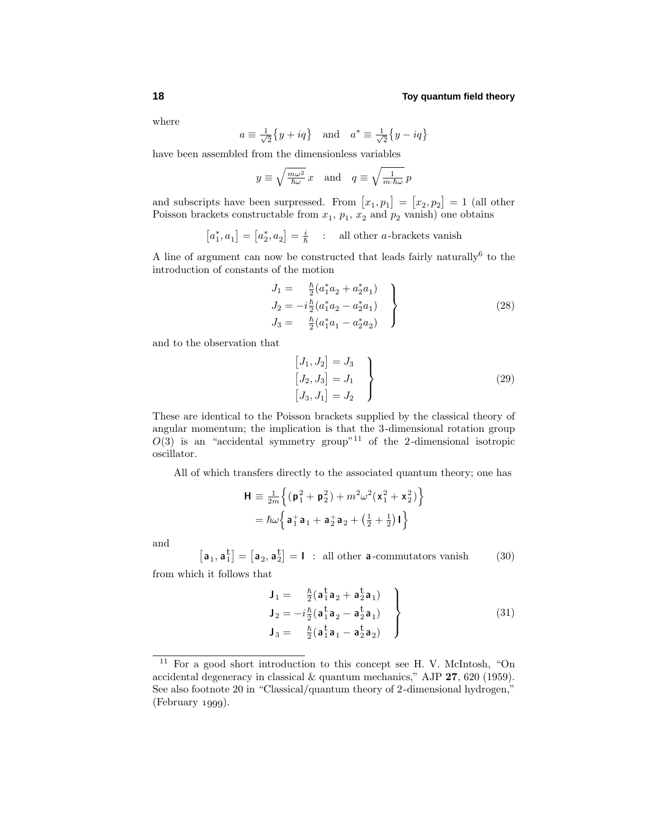where

$$
a \equiv \frac{1}{\sqrt{2}} \{y + iq\}
$$
 and  $a^* \equiv \frac{1}{\sqrt{2}} \{y - iq\}$ 

have been assembled from the dimensionless variables

$$
y \equiv \sqrt{\frac{m\omega^2}{\hbar \omega}} x
$$
 and  $q \equiv \sqrt{\frac{1}{m \cdot \hbar \omega}} p$ 

and subscripts have been surpressed. From  $[x_1, p_1] = [x_2, p_2] = 1$  (all other Poisson brackets constructable from  $x_1$ ,  $p_1$ ,  $x_2$  and  $p_2$  vanish) one obtains

$$
[a_1^*, a_1] = [a_2^*, a_2] = \frac{i}{\hbar} \quad : \quad \text{all other } a\text{-brackets vanish}
$$

A line of argument can now be constructed that leads fairly naturally<br><sup>6</sup> to the introduction of constants of the motion

$$
J_1 = \frac{\hbar}{2} (a_1^* a_2 + a_2^* a_1)
$$
  
\n
$$
J_2 = -i \frac{\hbar}{2} (a_1^* a_2 - a_2^* a_1)
$$
  
\n
$$
J_3 = \frac{\hbar}{2} (a_1^* a_1 - a_2^* a_2)
$$
\n(28)

and to the observation that

$$
\begin{aligned}\n[J_1, J_2] &= J_3\\ \n[J_2, J_3] &= J_1\\ \n[J_3, J_1] &= J_2\n\end{aligned}
$$
\n(29)

These are identical to the Poisson brackets supplied by the classical theory of angular momentum; the implication is that the 3-dimensional rotation group  $O(3)$  is an "accidental symmetry group"<sup>11</sup> of the 2-dimensional isotropic oscillator.

All of which transfers directly to the associated quantum theory; one has

$$
\mathbf{H} \equiv \frac{1}{2m} \left\{ (\mathbf{p}_1^2 + \mathbf{p}_2^2) + m^2 \omega^2 (\mathbf{x}_1^2 + \mathbf{x}_2^2) \right\}
$$

$$
= \hbar \omega \left\{ \mathbf{a}_1^+ \mathbf{a}_1 + \mathbf{a}_2^+ \mathbf{a}_2 + \left( \frac{1}{2} + \frac{1}{2} \right) \mathbf{I} \right\}
$$

and

 $[a_1, a_1^t] = [a_2, a_2^t] = I$  : all other **a**-commutators vanish (30)

from which it follows that

$$
\mathbf{J}_1 = \begin{bmatrix} \frac{\hbar}{2} (\mathbf{a}_1^{\dagger} \mathbf{a}_2 + \mathbf{a}_2^{\dagger} \mathbf{a}_1) \\ \mathbf{J}_2 = -i \frac{\hbar}{2} (\mathbf{a}_1^{\dagger} \mathbf{a}_2 - \mathbf{a}_2^{\dagger} \mathbf{a}_1) \\ \mathbf{J}_3 = \frac{\hbar}{2} (\mathbf{a}_1^{\dagger} \mathbf{a}_1 - \mathbf{a}_2^{\dagger} \mathbf{a}_2) \end{bmatrix}
$$
\n(31)

<sup>11</sup> For a good short introduction to this concept see H. V. McIntosh, "On accidental degeneracy in classical & quantum mechanics," AJP **27**, 620 (1959). See also footnote 20 in "Classical/quantum theory of 2-dimensional hydrogen,"  $(February 1999).$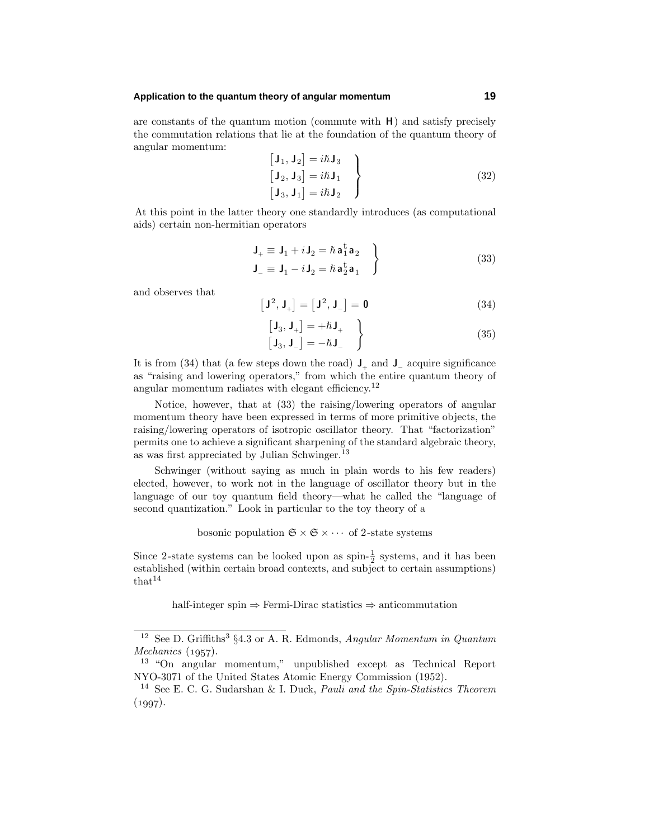## **Application to the quantum theory of angular momentum 19**

are constants of the quantum motion (commute with **H**) and satisfy precisely the commutation relations that lie at the foundation of the quantum theory of angular momentum:

$$
\begin{bmatrix} \mathbf{J}_1, \mathbf{J}_2 \end{bmatrix} = i\hbar \mathbf{J}_3 \n\begin{bmatrix} \mathbf{J}_2, \mathbf{J}_3 \end{bmatrix} = i\hbar \mathbf{J}_1 \n\begin{bmatrix} \mathbf{J}_3, \mathbf{J}_1 \end{bmatrix} = i\hbar \mathbf{J}_2
$$
\n(32)

At this point in the latter theory one standardly introduces (as computational aids) certain non-hermitian operators

$$
\mathbf{J}_{+} \equiv \mathbf{J}_{1} + i \mathbf{J}_{2} = \hbar \mathbf{a}_{1}^{\dagger} \mathbf{a}_{2} \n\mathbf{J}_{-} \equiv \mathbf{J}_{1} - i \mathbf{J}_{2} = \hbar \mathbf{a}_{2}^{\dagger} \mathbf{a}_{1}
$$
\n(33)

and observes that

$$
\left[\mathbf{J}^2, \mathbf{J}_+\right] = \left[\mathbf{J}^2, \mathbf{J}_-\right] = \mathbf{0} \tag{34}
$$

$$
\begin{bmatrix} \mathbf{J}_3, \mathbf{J}_+ \end{bmatrix} = + \hbar \mathbf{J}_+ \qquad \qquad (35)
$$

It is from (34) that (a few steps down the road)  $J_+$  and  $J_-$  acquire significance as "raising and lowering operators," from which the entire quantum theory of angular momentum radiates with elegant efficiency.<sup>12</sup>

Notice, however, that at (33) the raising/lowering operators of angular momentum theory have been expressed in terms of more primitive objects, the raising/lowering operators of isotropic oscillator theory. That "factorization" permits one to achieve a significant sharpening of the standard algebraic theory, as was first appreciated by Julian Schwinger.<sup>13</sup>

Schwinger (without saying as much in plain words to his few readers) elected, however, to work not in the language of oscillator theory but in the language of our toy quantum field theory—what he called the "language of second quantization." Look in particular to the toy theory of a

bosonic population  $\mathfrak{S} \times \mathfrak{S} \times \cdots$  of 2-state systems

Since 2-state systems can be looked upon as spin- $\frac{1}{2}$  systems, and it has been established (within certain broad contexts, and subject to certain assumptions)  $that<sup>14</sup>$ 

half-integer spin ⇒ Fermi-Dirac statistics ⇒ anticommutation

<sup>&</sup>lt;sup>12</sup> See D. Griffiths<sup>3</sup> §4.3 or A. R. Edmonds, Angular Momentum in Quantum  $Mechanics (1957).$ 

<sup>13</sup> "On angular momentum," unpublished except as Technical Report NYO-3071 of the United States Atomic Energy Commission (1952).

<sup>&</sup>lt;sup>14</sup> See E. C. G. Sudarshan & I. Duck, *Pauli and the Spin-Statistics Theorem*  $(1997).$